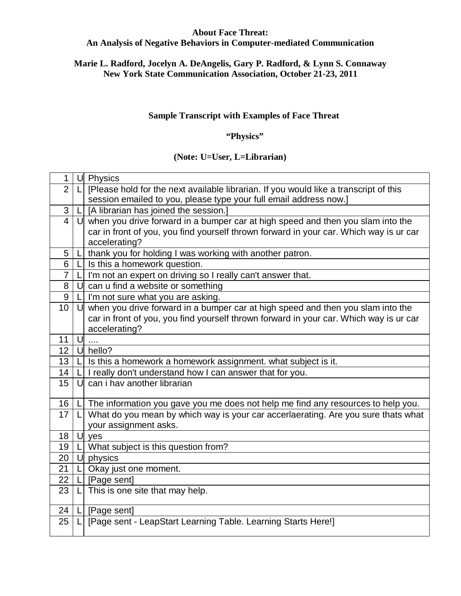# **About Face Threat:**

# **An Analysis of Negative Behaviors in Computer-mediated Communication**

# **Marie L. Radford, Jocelyn A. DeAngelis, Gary P. Radford, & Lynn S. Connaway New York State Communication Association, October 21-23, 2011**

### **Sample Transcript with Examples of Face Threat**

#### **"Physics"**

#### **(Note: U=User, L=Librarian)**

| 1              |        | U Physics                                                                              |
|----------------|--------|----------------------------------------------------------------------------------------|
| $\overline{2}$ |        | [Please hold for the next available librarian. If you would like a transcript of this  |
|                |        | session emailed to you, please type your full email address now.]                      |
| 3              |        | [A librarian has joined the session.]                                                  |
| $\overline{4}$ |        | $U$ when you drive forward in a bumper car at high speed and then you slam into the    |
|                |        | car in front of you, you find yourself thrown forward in your car. Which way is ur car |
|                |        | accelerating?                                                                          |
| 5              |        | thank you for holding I was working with another patron.                               |
| 6              |        | Is this a homework question.                                                           |
| $\overline{7}$ | LI     | I'm not an expert on driving so I really can't answer that.                            |
| 8              | U      | can u find a website or something                                                      |
| 9              |        | I'm not sure what you are asking.                                                      |
| 10             | U      | when you drive forward in a bumper car at high speed and then you slam into the        |
|                |        | car in front of you, you find yourself thrown forward in your car. Which way is ur car |
|                |        | accelerating?                                                                          |
| 11             | U      |                                                                                        |
| 12             |        | U hello?                                                                               |
| 13             |        | Is this a homework a homework assignment. what subject is it.                          |
| 14             |        | I really don't understand how I can answer that for you.                               |
| 15             | U      | can i hav another librarian                                                            |
|                |        |                                                                                        |
| 16             |        | The information you gave you me does not help me find any resources to help you.       |
| 17             |        | What do you mean by which way is your car accerlaerating. Are you sure thats what      |
|                |        | your assignment asks.                                                                  |
| 18             | $\cup$ | yes                                                                                    |
| 19             |        | What subject is this question from?                                                    |
| 20             |        | U physics                                                                              |
| 21             |        | Okay just one moment.                                                                  |
| 22             |        | [Page sent]                                                                            |
| 23             | LI     | This is one site that may help.                                                        |
|                |        |                                                                                        |
| 24             | LТ     | [Page sent]                                                                            |
| 25             |        | [Page sent - LeapStart Learning Table. Learning Starts Here!]                          |
|                |        |                                                                                        |